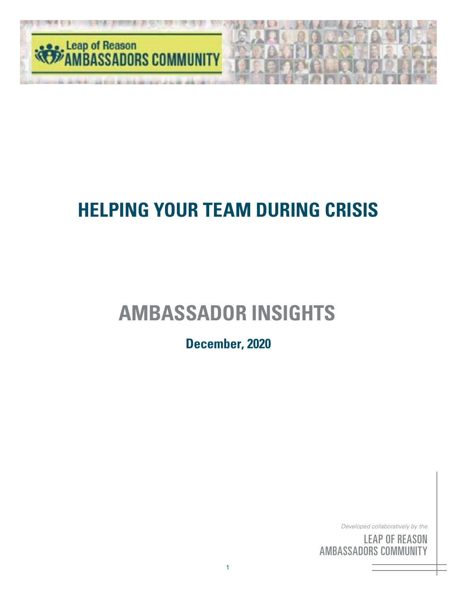

# **AMBASSADOR INSIGHTS**

**December, 2020**

*Developed collaboratively by the*

<sup>by</sup><br>S( he<br>IN<br>'Y <sup>by</sup><br>SC<br>III <sub>the</sub><br>DN<br>FY LEAP OF REASON AMBASSADORS COMMUNITY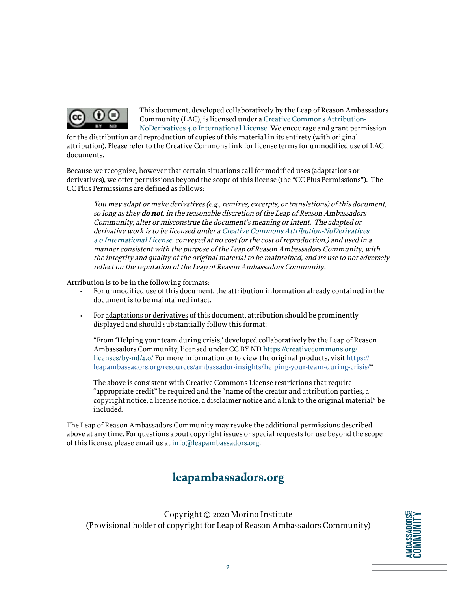

This document, developed collaboratively by the Leap of Reason Ambassadors Community (LAC), is licensed under a [Creative Commons Attribution-](https://creativecommons.org/licenses/by-nd/4.0/)[NoDerivatives 4.0 International License](https://creativecommons.org/licenses/by-nd/4.0/). We encourage and grant permission

for the distribution and reproduction of copies of this material in its entirety (with original attribution). Please refer to the Creative Commons link for license terms for unmodified use of LAC documents.

Because we recognize, however that certain situations call for modified uses (adaptations or derivatives), we offer permissions beyond the scope of this license (the "CC Plus Permissions"). The CC Plus Permissions are defined as follows:

You may adapt or make derivatives (e.g., remixes, excerpts, or translations) of this document, so long as they **do not**, in the reasonable discretion of the Leap of Reason Ambassadors Community, alter or misconstrue the document's meaning or intent. The adapted or derivative work is to be licensed under a [Creative Commons Attribution-NoDerivatives](https://creativecommons.org/licenses/by-nd/4.0/)  [4.0 International License](https://creativecommons.org/licenses/by-nd/4.0/), conveyed at no cost (or the cost of reproduction,) and used in a manner consistent with the purpose of the Leap of Reason Ambassadors Community, with the integrity and quality of the original material to be maintained, and its use to not adversely reflect on the reputation of the Leap of Reason Ambassadors Community.

Attribution is to be in the following formats:

- For unmodified use of this document, the attribution information already contained in the document is to be maintained intact.
- For adaptations or derivatives of this document, attribution should be prominently displayed and should substantially follow this format:

"From 'Helping your team during crisis,' developed collaboratively by the Leap of Reason Ambassadors Community, licensed under CC BY ND [https://creativecommons.org/](https://creativecommons.org/licenses/by-nd/4.0/) [licenses/by-nd/4.0/](https://creativecommons.org/licenses/by-nd/4.0/) For more information or to view the original products, visit [https://](https://leapambassadors.org/resources/ambassador-insights/helping-your-team-during-crisis/) [leapambassadors.org/resources/ambassador-insights/helping-your-team-during-crisis/](https://leapambassadors.org/resources/ambassador-insights/helping-your-team-during-crisis/)"

The above is consistent with Creative Commons License restrictions that require "appropriate credit" be required and the "name of the creator and attribution parties, a copyright notice, a license notice, a disclaimer notice and a link to the original material" be included.

The Leap of Reason Ambassadors Community may revoke the additional permissions described above at any time. For questions about copyright issues or special requests for use beyond the scope of this license, please email us at [info@leapambassadors.org](mailto:info%40leapambassadors.org?subject=).

### **leapambassadors.org**

Copyright © 2020 Morino Institute (Provisional holder of copyright for Leap of Reason Ambassadors Community)

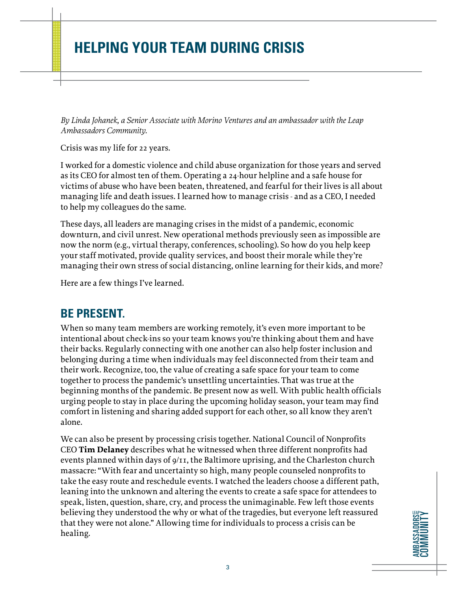*By Linda Johanek, a Senior Associate with Morino Ventures and an ambassador with the Leap Ambassadors Community.*

Crisis was my life for 22 years.

I worked for a domestic violence and child abuse organization for those years and served as its CEO for almost ten of them. Operating a 24-hour helpline and a safe house for victims of abuse who have been beaten, threatened, and fearful for their lives is all about managing life and death issues. I learned how to manage crisis - and as a CEO, I needed to help my colleagues do the same.

These days, all leaders are managing crises in the midst of a pandemic, economic downturn, and civil unrest. New operational methods previously seen as impossible are now the norm (e.g., virtual therapy, conferences, schooling). So how do you help keep your staff motivated, provide quality services, and boost their morale while they're managing their own stress of social distancing, online learning for their kids, and more?

Here are a few things I've learned.

#### **BE PRESENT.**

When so many team members are working remotely, it's even more important to be intentional about check-ins so your team knows you're thinking about them and have their backs. Regularly connecting with one another can also help foster inclusion and belonging during a time when individuals may feel disconnected from their team and their work. Recognize, too, the value of creating a safe space for your team to come together to process the pandemic's unsettling uncertainties. That was true at the beginning months of the pandemic. Be present now as well. With public health officials urging people to stay in place during the upcoming holiday season, your team may find comfort in listening and sharing added support for each other, so all know they aren't alone.

We can also be present by processing crisis together. National Council of Nonprofits CEO **Tim Delaney** describes what he witnessed when three different nonprofits had events planned within days of  $g/I$ , the Baltimore uprising, and the Charleston church massacre: "With fear and uncertainty so high, many people counseled nonprofits to take the easy route and reschedule events. I watched the leaders choose a different path, leaning into the unknown and altering the events to create a safe space for attendees to speak, listen, question, share, cry, and process the unimaginable. Few left those events believing they understood the why or what of the tragedies, but everyone left reassured that they were not alone." Allowing time for individuals to process a crisis can be healing.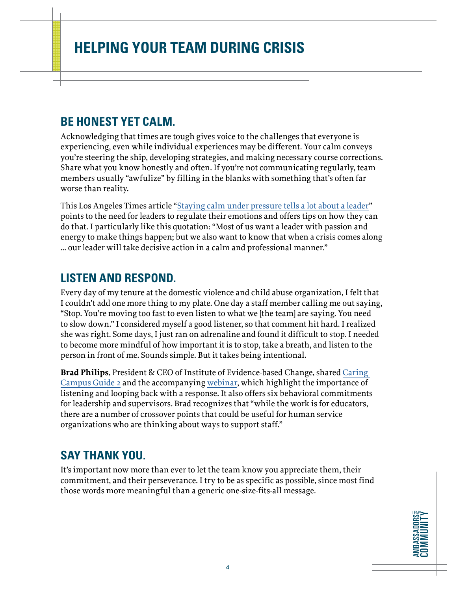### **BE HONEST YET CALM.**

Acknowledging that times are tough gives voice to the challenges that everyone is experiencing, even while individual experiences may be different. Your calm conveys you're steering the ship, developing strategies, and making necessary course corrections. Share what you know honestly and often. If you're not communicating regularly, team members usually "awfulize" by filling in the blanks with something that's often far worse than reality.

This Los Angeles Times article ["Staying calm under pressure tells a lot about a leader](https://www.latimes.com/business/la-fi-on-leadership-calm-20160618-snap-story.html)" points to the need for leaders to regulate their emotions and offers tips on how they can do that. I particularly like this quotation: "Most of us want a leader with passion and energy to make things happen; but we also want to know that when a crisis comes along … our leader will take decisive action in a calm and professional manner."

#### **LISTEN AND RESPOND.**

Every day of my tenure at the domestic violence and child abuse organization, I felt that I couldn't add one more thing to my plate. One day a staff member calling me out saying, "Stop. You're moving too fast to even listen to what we [the team] are saying. You need to slow down." I considered myself a good listener, so that comment hit hard. I realized she was right. Some days, I just ran on adrenaline and found it difficult to stop. I needed to become more mindful of how important it is to stop, take a breath, and listen to the person in front of me. Sounds simple. But it takes being intentional.

**Brad Philips**, President & CEO of Institute of Evidence-based Change, shared [Caring](http://www.iebcnow.org/wp-content/uploads/2020/05/IEBC-CC_Guide2.pdf)  [Campus Guide 2](http://www.iebcnow.org/wp-content/uploads/2020/05/IEBC-CC_Guide2.pdf) and the accompanying [webinar,](https://bit.ly/3gG77JT) which highlight the importance of listening and looping back with a response. It also offers six behavioral commitments for leadership and supervisors. Brad recognizes that "while the work is for educators, there are a number of crossover points that could be useful for human service organizations who are thinking about ways to support staff."

### **SAY THANK YOU.**

It's important now more than ever to let the team know you appreciate them, their commitment, and their perseverance. I try to be as specific as possible, since most find those words more meaningful than a generic one-size-fits-all message.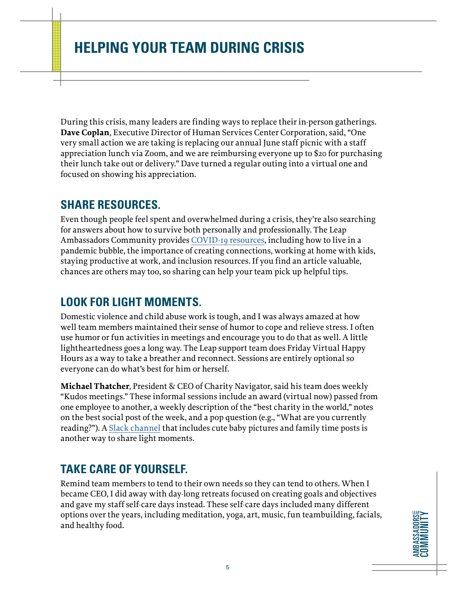During this crisis, many leaders are finding ways to replace their in-person gatherings. **Dave Coplan**, Executive Director of Human Services Center Corporation, said, "One very small action we are taking is replacing our annual June staff picnic with a staff appreciation lunch via Zoom, and we are reimbursing everyone up to \$20 for purchasing their lunch take out or delivery." Dave turned a regular outing into a virtual one and focused on showing his appreciation.

#### **SHARE RESOURCES.**

Even though people feel spent and overwhelmed during a crisis, they're also searching for answers about how to survive both personally and professionally. The Leap Ambassadors Community provides [COVID-19 resources](https://leapambassadors.org/resources/covid-19-resources/), including how to live in a pandemic bubble, the importance of creating connections, working at home with kids, staying productive at work, and inclusion resources. If you find an article valuable, chances are others may too, so sharing can help your team pick up helpful tips.

### **LOOK FOR LIGHT MOMENTS.**

Domestic violence and child abuse work is tough, and I was always amazed at how well team members maintained their sense of humor to cope and relieve stress. I often use humor or fun activities in meetings and encourage you to do that as well. A little lightheartedness goes a long way. The Leap support team does Friday Virtual Happy Hours as a way to take a breather and reconnect. Sessions are entirely optional so everyone can do what's best for him or herself.

**Michael Thatcher**, President & CEO of Charity Navigator, said his team does weekly "Kudos meetings." These informal sessions include an award (virtual now) passed from one employee to another, a weekly description of the "best charity in the world," notes on the best social post of the week, and a pop question (e.g., "What are you currently reading?"). A [Slack channel](https://slack.com/) that includes cute baby pictures and family time posts is another way to share light moments.

### **TAKE CARE OF YOURSELF.**

Remind team members to tend to their own needs so they can tend to others. When I became CEO, I did away with day-long retreats focused on creating goals and objectives and gave my staff self-care days instead. These self-care days included many different options over the years, including meditation, yoga, art, music, fun teambuilding, facials, and healthy food.